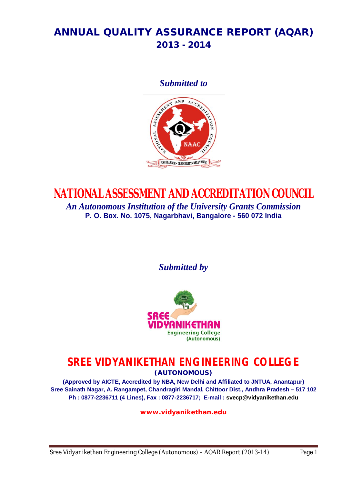# **ANNUAL QUALITY ASSURANCE REPORT (AQAR) 2013 - 2014**

*Submitted to*



# **NATIONAL ASSESSMENT AND ACCREDITATION COUNCIL**

*An Autonomous Institution of the University Grants Commission* **P. O. Box. No. 1075, Nagarbhavi, Bangalore - 560 072 India**

*Submitted by*



# **SREE VIDYANIKETHAN ENGINEERING COLLEGE**

**(AUTONOMOUS)**

**(Approved by AICTE, Accredited by NBA, New Delhi and Affiliated to JNTUA, Anantapur) Sree Sainath Nagar, A. Rangampet, Chandragiri Mandal, Chittoor Dist., Andhra Pradesh – 517 102 Ph : 0877-2236711 (4 Lines), Fax : 0877-2236717; E-mail : svecp@vidyanikethan.edu**

**www.vidyanikethan.edu**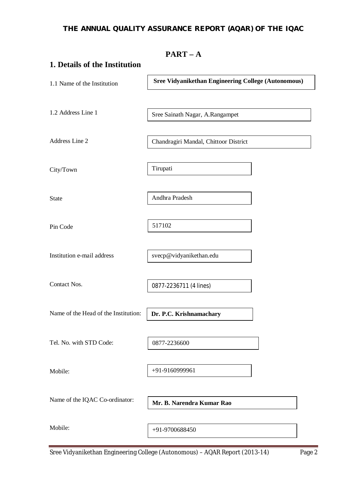# **THE ANNUAL QUALITY ASSURANCE REPORT (AQAR) OF THE IQAC**

|                                      | $PART - A$                                                 |
|--------------------------------------|------------------------------------------------------------|
| 1. Details of the Institution        |                                                            |
| 1.1 Name of the Institution          | <b>Sree Vidyanikethan Engineering College (Autonomous)</b> |
| 1.2 Address Line 1                   | Sree Sainath Nagar, A.Rangampet                            |
| Address Line 2                       | Chandragiri Mandal, Chittoor District                      |
| City/Town                            | Tirupati                                                   |
| <b>State</b>                         | Andhra Pradesh                                             |
| Pin Code                             | 517102                                                     |
| Institution e-mail address           | svecp@vidyanikethan.edu                                    |
| Contact Nos.                         | 0877-2236711 (4 lines)                                     |
| Name of the Head of the Institution: | Dr. P.C. Krishnamachary                                    |
| Tel. No. with STD Code:              | 0877-2236600                                               |
| Mobile:                              | +91-9160999961                                             |
| Name of the IQAC Co-ordinator:       | Mr. B. Narendra Kumar Rao                                  |
| Mobile:                              | +91-9700688450                                             |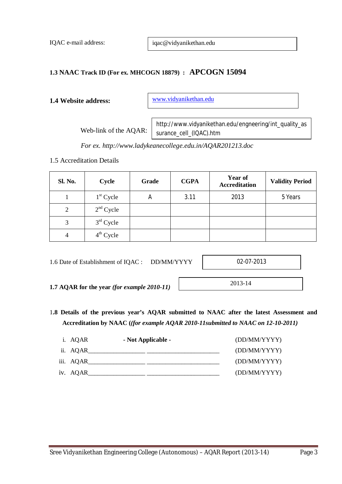IQAC e-mail address:

iqac@vidyanikethan.edu

# **1.3 NAAC Track ID (For ex. MHCOGN 18879) : APCOGN 15094**

# **1.4 Website address:**

www.vidyanikethan.edu

Web-link of the AQAR:

http://www.vidyanikethan.edu/engneering/int\_quality\_as surance\_cell\_(IQAC).htm

*For ex. http://www.ladykeanecollege.edu.in/AQAR201213.doc*

1.5 Accreditation Details

| Sl. No.        | Cycle       | Grade | <b>CGPA</b> | <b>Year of</b><br><b>Accreditation</b> | <b>Validity Period</b> |
|----------------|-------------|-------|-------------|----------------------------------------|------------------------|
|                | $1st$ Cycle | Α     | 3.11        | 2013                                   | 5 Years                |
| $\overline{2}$ | $2nd$ Cycle |       |             |                                        |                        |
| 3              | $3rd$ Cycle |       |             |                                        |                        |
| 4              | $4th$ Cycle |       |             |                                        |                        |

1.6 Date of Establishment of IQAC : DD/MM/YYYY

02-07-2013

2013-14

**1.7 AQAR for the year** *(for example 2010-11)*

- 1**.8 Details of the previous year's AQAR submitted to NAAC after the latest Assessment and** 
	- **Accreditation by NAAC (***(for example AQAR 2010-11submitted to NAAC on 12-10-2011)*

| i. AQAR   | - Not Applicable - | (DD/MM/YYYY) |
|-----------|--------------------|--------------|
| ii. AQAR  |                    | (DD/MM/YYYY) |
| iii. AQAR |                    | (DD/MM/YYYY) |
| iv. AQAR_ |                    | (DD/MM/YYYY) |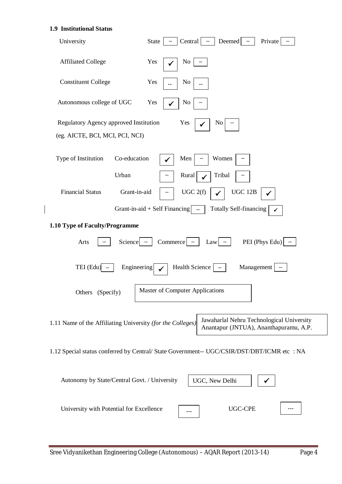#### **1.9 Institutional Status**

 $\overline{\phantom{a}}$ 

| University                                                 | Central<br>Deemed<br>State<br>Private                                                       |
|------------------------------------------------------------|---------------------------------------------------------------------------------------------|
| <b>Affiliated College</b>                                  | Yes<br>$\rm No$                                                                             |
| <b>Constituent College</b>                                 | Yes<br>N <sub>0</sub>                                                                       |
| Autonomous college of UGC                                  | Yes<br>N <sub>0</sub>                                                                       |
| Regulatory Agency approved Institution                     | Yes<br>No                                                                                   |
| (eg. AICTE, BCI, MCI, PCI, NCI)                            |                                                                                             |
| Co-education<br>Type of Institution                        | Women<br>Men                                                                                |
| Urban                                                      | Tribal<br>Rural                                                                             |
| <b>Financial Status</b><br>Grant-in-aid                    | UGC 2(f)<br><b>UGC 12B</b>                                                                  |
|                                                            | Totally Self-financing<br>Grant-in-aid $+$ Self Financing $ $ $-$                           |
|                                                            |                                                                                             |
| 1.10 Type of Faculty/Programme                             |                                                                                             |
| Science $\vert$ $\Vert$<br>Arts                            | PEI (Phys Edu)<br>$Commerce$ $-$<br>Law                                                     |
| TEI (Edu)<br>Engineering                                   | Health Science<br>Management                                                                |
| Others (Specify)                                           | Master of Computer Applications                                                             |
| 1.11 Name of the Affiliating University (for the Colleges) | Jawaharlal Nehru Technological University<br>Anantapur (JNTUA), Ananthapuramu, A.P.         |
|                                                            | 1.12 Special status conferred by Central/ State Government-- UGC/CSIR/DST/DBT/ICMR etc : NA |
| Autonomy by State/Central Govt. / University               | UGC, New Delhi                                                                              |
| University with Potential for Excellence                   | UGC-CPE                                                                                     |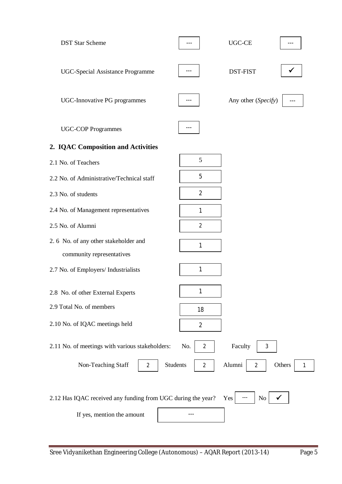| <b>DST Star Scheme</b>                                       |                                   | UGC-CE                                  |
|--------------------------------------------------------------|-----------------------------------|-----------------------------------------|
| <b>UGC-Special Assistance Programme</b>                      |                                   | <b>DST-FIST</b>                         |
| UGC-Innovative PG programmes                                 |                                   | Any other (Specify)                     |
| <b>UGC-COP Programmes</b>                                    |                                   |                                         |
| 2. IQAC Composition and Activities                           |                                   |                                         |
| 2.1 No. of Teachers                                          | 5                                 |                                         |
| 2.2 No. of Administrative/Technical staff                    | 5                                 |                                         |
| 2.3 No. of students                                          | $\overline{2}$                    |                                         |
| 2.4 No. of Management representatives                        | 1                                 |                                         |
| 2.5 No. of Alumni                                            | $\overline{2}$                    |                                         |
| 2.6 No. of any other stakeholder and                         | 1                                 |                                         |
| community representatives                                    |                                   |                                         |
| 2.7 No. of Employers/ Industrialists                         | 1                                 |                                         |
| 2.8 No. of other External Experts                            |                                   |                                         |
| 2.9 Total No. of members                                     | 18                                |                                         |
| 2.10 No. of IQAC meetings held                               | $\overline{2}$                    |                                         |
| 2.11 No. of meetings with various stakeholders:              | No.<br>$\overline{2}$             | Faculty<br>3                            |
| Non-Teaching Staff<br>$\overline{2}$                         | <b>Students</b><br>$\overline{2}$ | Alumni<br>Others<br>$\overline{2}$<br>1 |
| 2.12 Has IQAC received any funding from UGC during the year? |                                   | N <sub>o</sub><br>Yes                   |
| If yes, mention the amount                                   |                                   |                                         |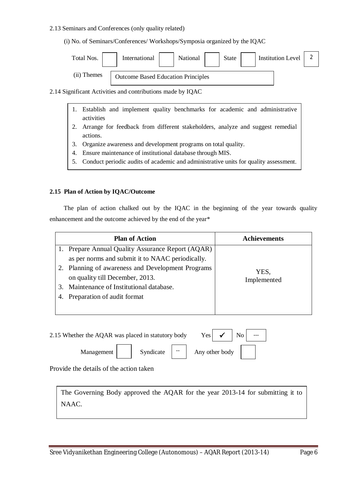#### 2.13 Seminars and Conferences (only quality related)

(i) No. of Seminars/Conferences/ Workshops/Symposia organized by the IQAC

| Total Nos.  | International                             | National | <b>State</b> | <b>Institution Level</b> |  |
|-------------|-------------------------------------------|----------|--------------|--------------------------|--|
| (ii) Themes | <b>Outcome Based Education Principles</b> |          |              |                          |  |

2.14 Significant Activities and contributions made by IQAC

- 1. Establish and implement quality benchmarks for academic and administrative activities
- 2. Arrange for feedback from different stakeholders, analyze and suggest remedial actions.
- 3. Organize awareness and development programs on total quality.
- 4. Ensure maintenance of institutional database through MIS.
- 5. Conduct periodic audits of academic and administrative units for quality assessment.

#### **2.15 Plan of Action by IQAC/Outcome**

 The plan of action chalked out by the IQAC in the beginning of the year towards quality enhancement and the outcome achieved by the end of the year\*

|    | <b>Plan of Action</b>                             | <b>Achievements</b> |
|----|---------------------------------------------------|---------------------|
|    | 1. Prepare Annual Quality Assurance Report (AQAR) |                     |
|    | as per norms and submit it to NAAC periodically.  |                     |
|    | 2. Planning of awareness and Development Programs | YES,                |
|    | on quality till December, 2013.                   | Implemented         |
| 3. | Maintenance of Institutional database.            |                     |
|    | Preparation of audit format                       |                     |
|    |                                                   |                     |

| 2.15 Whether the AQAR was placed in statutory body |  |           |       | Yes l          | $\checkmark$ |  |  |
|----------------------------------------------------|--|-----------|-------|----------------|--------------|--|--|
| Management                                         |  | Syndicate | $- -$ | Any other body |              |  |  |

Provide the details of the action taken

The Governing Body approved the AQAR for the year 2013-14 for submitting it to NAAC.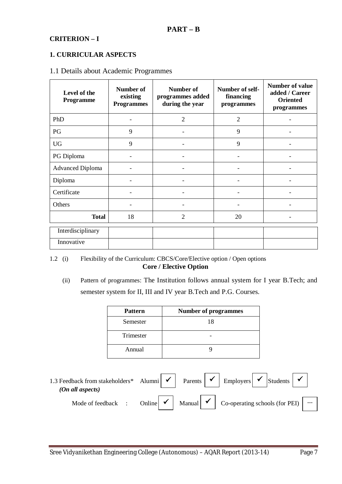# **CRITERION – I**

# **1. CURRICULAR ASPECTS**

#### 1.1 Details about Academic Programmes

| Level of the<br>Programme | Number of<br>existing<br><b>Programmes</b> | Number of<br>programmes added<br>during the year | Number of self-<br>financing<br>programmes |  |
|---------------------------|--------------------------------------------|--------------------------------------------------|--------------------------------------------|--|
| PhD                       |                                            | $\overline{2}$<br>$\overline{2}$                 |                                            |  |
| PG                        | 9                                          | 9                                                |                                            |  |
| <b>UG</b>                 | 9<br>9                                     |                                                  |                                            |  |
| PG Diploma                |                                            |                                                  |                                            |  |
| <b>Advanced Diploma</b>   |                                            |                                                  |                                            |  |
| Diploma                   |                                            |                                                  |                                            |  |
| Certificate               |                                            |                                                  |                                            |  |
| Others                    |                                            |                                                  |                                            |  |
| <b>Total</b>              | 18                                         | $\overline{2}$                                   | 20                                         |  |
| Interdisciplinary         |                                            |                                                  |                                            |  |
| Innovative                |                                            |                                                  |                                            |  |

1.2 (i) Flexibility of the Curriculum: CBCS/Core/Elective option / Open options **Core / Elective Option**

 (ii) Pattern of programmes: The Institution follows annual system for I year B.Tech; and semester system for II, III and IV year B.Tech and P.G. Courses.

| <b>Pattern</b> | <b>Number of programmes</b> |
|----------------|-----------------------------|
| Semester       | 18                          |
| Trimester      |                             |
| Annual         |                             |

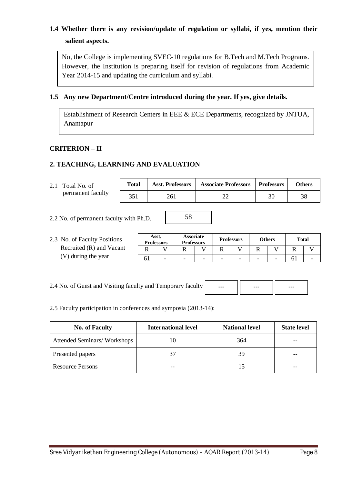# **1.4 Whether there is any revision/update of regulation or syllabi, if yes, mention their salient aspects.**

No, the College is implementing SVEC-10 regulations for B.Tech and M.Tech Programs. However, the Institution is preparing itself for revision of regulations from Academic Year 2014-15 and updating the curriculum and syllabi.

# **1.5 Any new Department/Centre introduced during the year. If yes, give details.**

Establishment of Research Centers in EEE & ECE Departments, recognized by JNTUA, Anantapur

# **CRITERION – II**

# **2. TEACHING, LEARNING AND EVALUATION**

| 2.1 Total No. of<br>permanent faculty  | <b>Total</b> | <b>Asst. Professors</b> | <b>Associate Professors</b> | <b>Professors</b> | <b>Others</b> |
|----------------------------------------|--------------|-------------------------|-----------------------------|-------------------|---------------|
|                                        | 351          | 261                     |                             | 30                | 38            |
| 2.2 No. of permanent faculty with Ph D |              | 58                      |                             |                   |               |

2.2 No. of permanent faculty with Ph.D.

2.3 No. of Faculty Positions Recruited (R) and Vacant (V) during the year

| Asst.<br><b>Professors</b> |   | <b>Associate</b><br><b>Professors</b> |   | <b>Professors</b> |   |                          | <b>Others</b> | <b>Total</b> |  |
|----------------------------|---|---------------------------------------|---|-------------------|---|--------------------------|---------------|--------------|--|
|                            |   |                                       |   |                   |   |                          |               |              |  |
|                            | - | -                                     | - | -                 | - | $\overline{\phantom{a}}$ |               |              |  |

2.4 No. of Guest and Visiting faculty and Temporary faculty



2.5 Faculty participation in conferences and symposia (2013-14):

| <b>No. of Faculty</b>       | <b>International level</b> | <b>National level</b> | <b>State level</b> |
|-----------------------------|----------------------------|-----------------------|--------------------|
| Attended Seminars/Workshops |                            | 364                   | $- -$              |
| Presented papers            | 37                         |                       | --                 |
| <b>Resource Persons</b>     |                            |                       | $- -$              |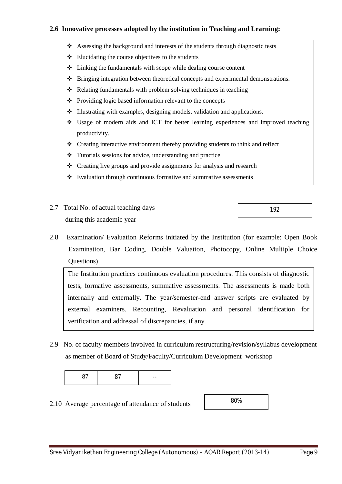# **2.6 Innovative processes adopted by the institution in Teaching and Learning:**

- Assessing the background and interests of the students through diagnostic tests
- $\triangle$  Elucidating the course objectives to the students
- $\triangle$  Linking the fundamentals with scope while dealing course content
- Bringing integration between theoretical concepts and experimental demonstrations.
- $\triangle$  Relating fundamentals with problem solving techniques in teaching
- ❖ Providing logic based information relevant to the concepts
- Illustrating with examples, designing models, validation and applications.
- Usage of modern aids and ICT for better learning experiences and improved teaching productivity.
- Creating interactive environment thereby providing students to think and reflect
- Tutorials sessions for advice, understanding and practice
- Creating live groups and provide assignments for analysis and research
- Evaluation through continuous formative and summative assessments
- 2.7 Total No. of actual teaching days during this academic year
- 2.8 Examination/ Evaluation Reforms initiated by the Institution (for example: Open Book Examination, Bar Coding, Double Valuation, Photocopy, Online Multiple Choice Questions)

The Institution practices continuous evaluation procedures. This consists of diagnostic tests, formative assessments, summative assessments. The assessments is made both internally and externally. The year/semester-end answer scripts are evaluated by external examiners. Recounting, Revaluation and personal identification for verification and addressal of discrepancies, if any.

2.9 No. of faculty members involved in curriculum restructuring/revision/syllabus development as member of Board of Study/Faculty/Curriculum Development workshop

|  | $- -$ |
|--|-------|
|--|-------|

2.10 Average percentage of attendance of students

| 80% |  |
|-----|--|
|     |  |
|     |  |

192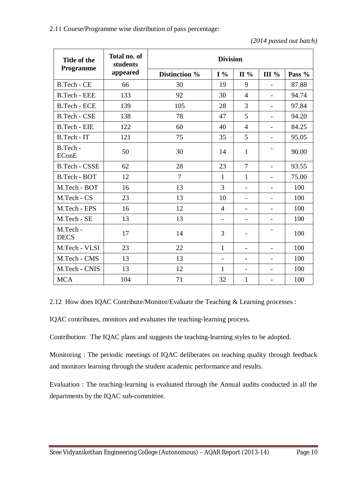*<sup>(2014</sup> passed out batch)*

| Title of the             | Total no. of<br>students | <b>Division</b> |                          |                          |                              |        |
|--------------------------|--------------------------|-----------------|--------------------------|--------------------------|------------------------------|--------|
| Programme                | appeared                 | Distinction %   | $I\%$                    | II%                      | <b>III</b> %                 | Pass % |
| B.Tech - CE              | 66                       | 30              | 19                       | 9                        | $\overline{\phantom{0}}$     | 87.88  |
| <b>B.Tech - EEE</b>      | 133                      | 92              | 30                       | 4                        | $\overline{\phantom{0}}$     | 94.74  |
| <b>B.Tech - ECE</b>      | 139                      | 105             | 28                       | 3                        | $\overline{\phantom{0}}$     | 97.84  |
| <b>B.Tech - CSE</b>      | 138                      | 78              | 47                       | 5                        | $\overline{\phantom{0}}$     | 94.20  |
| B.Tech - EIE             | 122                      | 60              | 40                       | $\overline{4}$           | $\overline{\phantom{0}}$     | 84.25  |
| B.Tech - IT              | 121                      | 75              | 35                       | 5                        | $\overline{\phantom{a}}$     | 95.05  |
| B.Tech -<br><b>EConE</b> | 50                       | 30              | 14                       | $\mathbf{1}$             | $\qquad \qquad \blacksquare$ | 90.00  |
| <b>B.Tech - CSSE</b>     | 62                       | 28              | 23                       | $\overline{7}$           | $\overline{\phantom{0}}$     | 93.55  |
| B.Tech - BOT             | 12                       | 7               | $\mathbf{1}$             | 1                        | $\overline{a}$               | 75.00  |
| M.Tech - BOT             | 16                       | 13              | 3                        | Ξ.                       | $\overline{\phantom{0}}$     | 100    |
| M.Tech - CS              | 23                       | 13              | 10                       | $\overline{\phantom{0}}$ | $\overline{\phantom{a}}$     | 100    |
| M.Tech - EPS             | 16                       | 12              | $\overline{4}$           | $\overline{a}$           | $\overline{\phantom{0}}$     | 100    |
| M.Tech - SE              | 13                       | 13              | $\overline{\phantom{a}}$ | -                        | $\overline{\phantom{0}}$     | 100    |
| M.Tech -<br><b>DECS</b>  | 17                       | 14              | 3                        | -                        |                              | 100    |
| M.Tech - VLSI            | 23                       | 22              | $\mathbf{1}$             | $\overline{a}$           | $\overline{a}$               | 100    |
| M.Tech - CMS             | 13                       | 13              | $\overline{a}$           | $\overline{\phantom{0}}$ |                              | 100    |
| M.Tech - CNIS            | 13                       | 12              | $\mathbf{1}$             | -                        | $\overline{\phantom{a}}$     | 100    |
| <b>MCA</b>               | 104                      | 71              | 32                       | $\mathbf{1}$             | $\overline{\phantom{a}}$     | 100    |

2.12 How does IQAC Contribute/Monitor/Evaluate the Teaching & Learning processes :

IQAC contributes, monitors and evaluates the teaching-learning process.

Contribution: The IQAC plans and suggests the teaching-learning styles to be adopted.

Monitoring : The periodic meetings of IQAC deliberates on teaching quality through feedback and monitors learning through the student academic performance and results.

Evaluation : The teaching-learning is evaluated through the Annual audits conducted in all the departments by the IQAC sub-committee.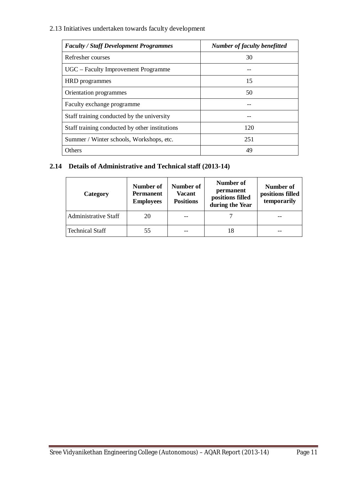2.13 Initiatives undertaken towards faculty development

| <b>Faculty / Staff Development Programmes</b>  | Number of faculty benefitted |
|------------------------------------------------|------------------------------|
| Refresher courses                              | 30                           |
| UGC – Faculty Improvement Programme            |                              |
| HRD programmes                                 | 15                           |
| Orientation programmes                         | 50                           |
| Faculty exchange programme                     |                              |
| Staff training conducted by the university     |                              |
| Staff training conducted by other institutions | 120                          |
| Summer / Winter schools, Workshops, etc.       | 251                          |
| Others                                         | 49                           |

# **2.14 Details of Administrative and Technical staff (2013-14)**

| Category                    | Number of<br><b>Permanent</b><br><b>Employees</b> | Number of<br><b>Vacant</b><br><b>Positions</b> | Number of<br>permanent<br>positions filled<br>during the Year | Number of<br>positions filled<br>temporarily |
|-----------------------------|---------------------------------------------------|------------------------------------------------|---------------------------------------------------------------|----------------------------------------------|
| <b>Administrative Staff</b> | 20                                                |                                                |                                                               |                                              |
| <b>Technical Staff</b>      | 55                                                |                                                |                                                               |                                              |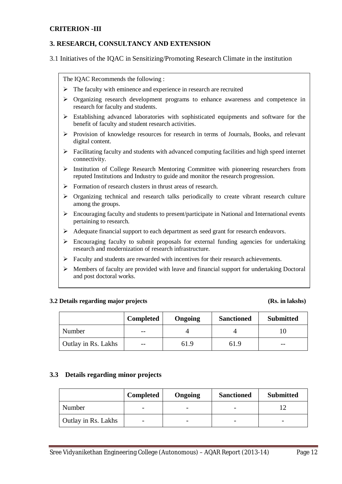## **CRITERION -III**

## **3. RESEARCH, CONSULTANCY AND EXTENSION**

3.1 Initiatives of the IQAC in Sensitizing/Promoting Research Climate in the institution

The IQAC Recommends the following :

- $\triangleright$  The faculty with eminence and experience in research are recruited
- $\triangleright$  Organizing research development programs to enhance awareness and competence in research for faculty and students.
- $\triangleright$  Establishing advanced laboratories with sophisticated equipments and software for the benefit of faculty and student research activities.
- $\triangleright$  Provision of knowledge resources for research in terms of Journals, Books, and relevant digital content.
- $\triangleright$  Facilitating faculty and students with advanced computing facilities and high speed internet connectivity.
- $\triangleright$  Institution of College Research Mentoring Committee with pioneering researchers from reputed Institutions and Industry to guide and monitor the research progression.
- $\triangleright$  Formation of research clusters in thrust areas of research.
- $\triangleright$  Organizing technical and research talks periodically to create vibrant research culture among the groups.
- $\triangleright$  Encouraging faculty and students to present/participate in National and International events pertaining to research.
- Adequate financial support to each department as seed grant for research endeavors.
- $\triangleright$  Encouraging faculty to submit proposals for external funding agencies for undertaking research and modernization of research infrastructure.
- Faculty and students are rewarded with incentives for their research achievements.
- $\triangleright$  Members of faculty are provided with leave and financial support for undertaking Doctoral and post doctoral works.

#### **3.2 Details regarding major projects (Rs. in lakshs)**

|                     | <b>Completed</b> | <b>Ongoing</b> | <b>Sanctioned</b> | <b>Submitted</b> |
|---------------------|------------------|----------------|-------------------|------------------|
| Number              | $- -$            |                |                   |                  |
| Outlay in Rs. Lakhs | $- -$            | 61.9           | 61.9              | $- -$            |

#### **3.3 Details regarding minor projects**

|                     | <b>Completed</b>         | Ongoing                  | <b>Sanctioned</b> | <b>Submitted</b> |
|---------------------|--------------------------|--------------------------|-------------------|------------------|
| Number              | $\overline{\phantom{0}}$ | $\overline{\phantom{0}}$ |                   |                  |
| Outlay in Rs. Lakhs | $\overline{\phantom{0}}$ |                          |                   |                  |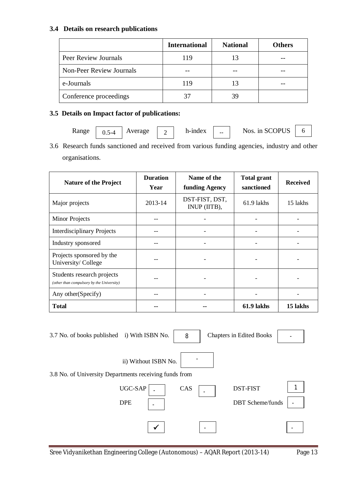# **3.4 Details on research publications**

|                                 | <b>International</b> | <b>National</b> | <b>Others</b> |
|---------------------------------|----------------------|-----------------|---------------|
| Peer Review Journals            | 119                  | 13              |               |
| <b>Non-Peer Review Journals</b> |                      |                 |               |
| e-Journals                      | 119                  | 13              |               |
| Conference proceedings          |                      |                 |               |

# **3.5 Details on Impact factor of publications:**

Range  $\begin{array}{|c|c|c|c|c|c|c|c|} \hline \end{array}$  Average  $\begin{array}{|c|c|c|c|c|c|c|c|} \hline \end{array}$  h-index  $\begin{array}{|c|c|c|c|c|c|c|} \hline \end{array}$  Nos. in SCOPUS  $\begin{array}{|c|c|c|c|c|} \hline \end{array}$  6 0.5-4

3.6 Research funds sanctioned and received from various funding agencies, industry and other organisations.

| <b>Nature of the Project</b>                                            | <b>Duration</b><br>Year | Name of the<br>funding Agency  | <b>Total grant</b><br>sanctioned | <b>Received</b> |
|-------------------------------------------------------------------------|-------------------------|--------------------------------|----------------------------------|-----------------|
| Major projects                                                          | 2013-14                 | DST-FIST, DST,<br>INUP (IITB), |                                  | 15 lakhs        |
| <b>Minor Projects</b>                                                   |                         |                                |                                  |                 |
| <b>Interdisciplinary Projects</b>                                       |                         |                                |                                  |                 |
| Industry sponsored                                                      |                         |                                |                                  |                 |
| Projects sponsored by the<br>University/College                         |                         |                                |                                  |                 |
| Students research projects<br>(other than compulsory by the University) |                         |                                |                                  |                 |
| Any other (Specify)                                                     |                         |                                |                                  |                 |
| <b>Total</b>                                                            |                         |                                | 61.9 lakhs                       | 15 lakhs        |

| 3.7 No. of books published i) With ISBN No.            |                                                   | 8   | <b>Chapters in Edited Books</b>            |                          |
|--------------------------------------------------------|---------------------------------------------------|-----|--------------------------------------------|--------------------------|
| 3.8 No. of University Departments receiving funds from | ii) Without ISBN No.                              |     |                                            |                          |
|                                                        | UGC-SAP<br><b>DPE</b><br>$\overline{\phantom{0}}$ | CAS | <b>DST-FIST</b><br><b>DBT</b> Scheme/funds | $\overline{\phantom{0}}$ |
|                                                        | ✔                                                 |     |                                            |                          |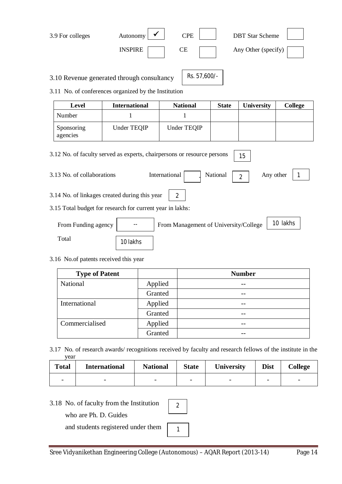| 3.9 For colleges | Autonomy       | $\rm{CPE}$ | <b>DBT</b> Star Scheme |
|------------------|----------------|------------|------------------------|
|                  | <b>INSPIRE</b> | CЕ         | Any Other (specify)    |

3.10 Revenue generated through consultancy

Rs. 57,600/-

3.11 No. of conferences organized by the Institution

| Level                  | <b>International</b> | <b>National</b> | <b>State</b> | <b>University</b> | <b>College</b> |
|------------------------|----------------------|-----------------|--------------|-------------------|----------------|
| Number                 |                      |                 |              |                   |                |
| Sponsoring<br>agencies | Under TEQIP          | Under TEQIP     |              |                   |                |

3.12 No. of faculty served as experts, chairpersons or resource persons 3.13 No. of collaborations International  $\boxed{2}$  Any other 3.14 No. of linkages created during this year 3.15 Total budget for research for current year in lakhs: From Funding agency | Trom Management of University/College | 10 lakhs Total National 15 1 2

# 3.16 No.of patents received this year

10 lakhs

| <b>Type of Patent</b> |         | <b>Number</b> |
|-----------------------|---------|---------------|
| National              | Applied |               |
|                       | Granted |               |
| International         | Applied |               |
|                       | Granted |               |
| Commercialised        | Applied |               |
|                       | Granted |               |

3.17 No. of research awards/ recognitions received by faculty and research fellows of the institute in the year

| <b>Total</b>             | <b>International</b>     | <b>National</b><br><b>State</b> |                          | <b>University</b>        | <b>Dist</b> | <b>College</b>           |
|--------------------------|--------------------------|---------------------------------|--------------------------|--------------------------|-------------|--------------------------|
| $\overline{\phantom{0}}$ | $\overline{\phantom{0}}$ | $\overline{\phantom{0}}$        | $\overline{\phantom{0}}$ | $\overline{\phantom{0}}$ |             | $\overline{\phantom{0}}$ |

# 3.18 No. of faculty from the Institution

who are Ph. D. Guides

and students registered under them

1

2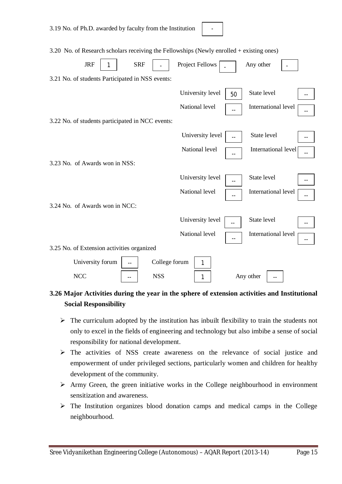3.20 No. of Research scholars receiving the Fellowships (Newly enrolled + existing ones)

-

| <b>JRF</b>                                       | <b>SRF</b>           | Project Fellows  |    | Any other           |                          |
|--------------------------------------------------|----------------------|------------------|----|---------------------|--------------------------|
| 3.21 No. of students Participated in NSS events: |                      |                  |    |                     |                          |
|                                                  |                      | University level | 50 | State level         |                          |
|                                                  |                      | National level   |    | International level | $\overline{\phantom{m}}$ |
| 3.22 No. of students participated in NCC events: |                      |                  |    |                     |                          |
|                                                  |                      | University level |    | State level         |                          |
|                                                  |                      | National level   |    | International level | $- -$                    |
| 3.23 No. of Awards won in NSS:                   |                      |                  |    |                     |                          |
|                                                  |                      | University level |    | State level         |                          |
|                                                  |                      | National level   |    | International level | $-$                      |
| 3.24 No. of Awards won in NCC:                   |                      |                  |    |                     |                          |
|                                                  |                      | University level |    | State level         |                          |
|                                                  |                      | National level   |    | International level |                          |
| 3.25 No. of Extension activities organized       |                      |                  |    |                     |                          |
| University forum                                 | College forum<br>$-$ | 1                |    |                     |                          |
| <b>NCC</b>                                       | <b>NSS</b>           | 1                |    | Any other           |                          |

# **3.26 Major Activities during the year in the sphere of extension activities and Institutional Social Responsibility**

- $\triangleright$  The curriculum adopted by the institution has inbuilt flexibility to train the students not only to excel in the fields of engineering and technology but also imbibe a sense of social responsibility for national development.
- The activities of NSS create awareness on the relevance of social justice and empowerment of under privileged sections, particularly women and children for healthy development of the community.
- $\triangleright$  Army Green, the green initiative works in the College neighbourhood in environment sensitization and awareness.
- $\triangleright$  The Institution organizes blood donation camps and medical camps in the College neighbourhood.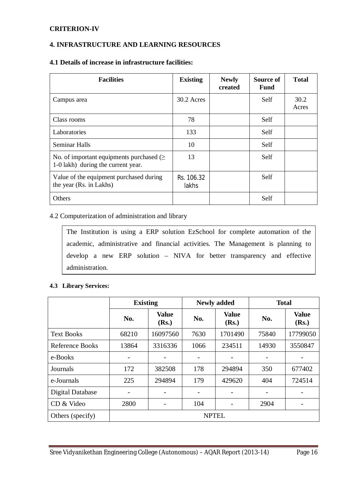# **CRITERION-IV**

# **4. INFRASTRUCTURE AND LEARNING RESOURCES**

# **4.1 Details of increase in infrastructure facilities:**

| <b>Facilities</b>                                                               | <b>Existing</b>     | <b>Newly</b><br>created | Source of<br><b>Fund</b> | <b>Total</b>  |
|---------------------------------------------------------------------------------|---------------------|-------------------------|--------------------------|---------------|
| Campus area                                                                     | 30.2 Acres          |                         | Self                     | 30.2<br>Acres |
| Class rooms                                                                     | 78                  |                         | Self                     |               |
| Laboratories                                                                    | 133                 |                         | Self                     |               |
| Seminar Halls                                                                   | 10                  |                         | Self                     |               |
| No. of important equipments purchased $($<br>1-0 lakh) during the current year. | 13                  |                         | Self                     |               |
| Value of the equipment purchased during<br>the year (Rs. in Lakhs)              | Rs. 106.32<br>lakhs |                         | Self                     |               |
| Others                                                                          |                     |                         | Self                     |               |

#### 4.2 Computerization of administration and library

The Institution is using a ERP solution EzSchool for complete automation of the academic, administrative and financial activities. The Management is planning to develop a new ERP solution – NIVA for better transparency and effective administration.

#### **4.3 Library Services:**

|                         | <b>Existing</b>              |                          |                | <b>Newly added</b>    | <b>Total</b>             |                       |  |
|-------------------------|------------------------------|--------------------------|----------------|-----------------------|--------------------------|-----------------------|--|
|                         | No.                          | <b>Value</b><br>(Rs.)    | No.            | <b>Value</b><br>(Rs.) | No.                      | <b>Value</b><br>(Rs.) |  |
| <b>Text Books</b>       | 68210                        | 16097560                 | 7630           | 1701490               | 75840                    | 17799050              |  |
| Reference Books         | 13864                        | 3316336                  | 1066           | 234511                | 14930                    | 3550847               |  |
| e-Books                 | $\overline{\phantom{0}}$     |                          |                |                       |                          |                       |  |
| Journals                | 172                          | 382508                   | 178            | 294894                | 350                      | 677402                |  |
| e-Journals              | 225                          | 294894                   | 179            | 429620                | 404                      | 724514                |  |
| <b>Digital Database</b> | $\qquad \qquad \blacksquare$ | $\overline{\phantom{a}}$ | $\overline{a}$ |                       | $\overline{\phantom{a}}$ |                       |  |
| CD & Video              | 2800                         |                          | 104            |                       | 2904                     |                       |  |
| Others (specify)        | <b>NPTEL</b>                 |                          |                |                       |                          |                       |  |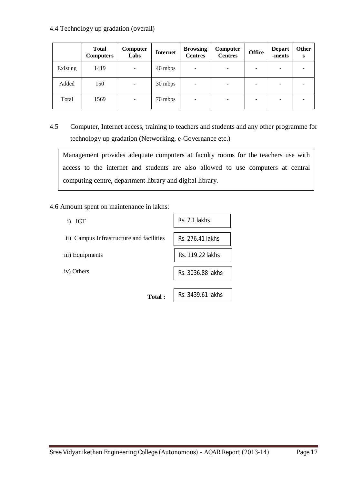# 4.4 Technology up gradation (overall)

|          | <b>Total</b><br><b>Computers</b> | Computer<br>Labs         | <b>Internet</b> | <b>Browsing</b><br><b>Centres</b> | Computer<br><b>Centres</b> | <b>Office</b> | <b>Depart</b><br>-ments | Other<br>S |
|----------|----------------------------------|--------------------------|-----------------|-----------------------------------|----------------------------|---------------|-------------------------|------------|
| Existing | 1419                             | $\overline{\phantom{a}}$ | 40 mbps         | $\overline{\phantom{a}}$          |                            |               |                         |            |
| Added    | 150                              | $\overline{\phantom{m}}$ | 30 mbps         | $\overline{\phantom{a}}$          | -                          |               |                         |            |
| Total    | 1569                             | $\overline{\phantom{a}}$ | 70 mbps         | $\overline{\phantom{a}}$          |                            |               |                         |            |

4.5 Computer, Internet access, training to teachers and students and any other programme for technology up gradation (Networking, e-Governance etc.)

Management provides adequate computers at faculty rooms for the teachers use with access to the internet and students are also allowed to use computers at central computing centre, department library and digital library.

4.6 Amount spent on maintenance in lakhs:

- i) ICT
- ii) Campus Infrastructure and facilities
- iii) Equipments
- iv) Others

Rs. 7.1 lakhs Rs. 276.41 lakhs Rs. 119.22 lakhs Rs. 3036.88 lakhs

Rs. 3439.61 lakhs

**Total :**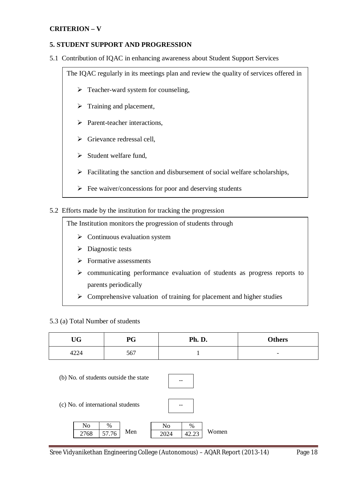# **CRITERION – V**

# **5. STUDENT SUPPORT AND PROGRESSION**

5.1 Contribution of IQAC in enhancing awareness about Student Support Services

The IQAC regularly in its meetings plan and review the quality of services offered in

- $\triangleright$  Teacher-ward system for counseling,
- $\triangleright$  Training and placement,
- > Parent-teacher interactions,
- $\triangleright$  Grievance redressal cell,
- $\triangleright$  Student welfare fund,
- $\triangleright$  Facilitating the sanction and disbursement of social welfare scholarships,
- $\triangleright$  Fee waiver/concessions for poor and deserving students

## 5.2 Efforts made by the institution for tracking the progression

The Institution monitors the progression of students through

- $\triangleright$  Continuous evaluation system
- $\triangleright$  Diagnostic tests
- $\triangleright$  Formative assessments
- $\triangleright$  communicating performance evaluation of students as progress reports to parents periodically
- $\triangleright$  Comprehensive valuation of training for placement and higher studies

5.3 (a) Total Number of students

| TTM<br>UU | PG  | Ph. D. | <b>Others</b>            |
|-----------|-----|--------|--------------------------|
| 4224      | 567 |        | $\overline{\phantom{0}}$ |

(b) No. of students outside the state



--

(c) No. of international students

|       | %    |     | $\%$  | $\mathbf{N}\mathbf{o}$ |  |
|-------|------|-----|-------|------------------------|--|
| Women | ل⊶∟⊤ | Men | 57.76 | 7760<br>oo             |  |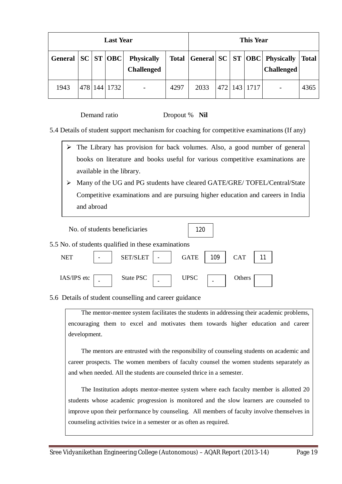| <b>Last Year</b> |     |     |           |                                        |              |      | <b>This Year</b> |          |                                                         |              |
|------------------|-----|-----|-----------|----------------------------------------|--------------|------|------------------|----------|---------------------------------------------------------|--------------|
| General          |     |     | SC ST OBC | <b>Physically</b><br><b>Challenged</b> | <b>Total</b> |      |                  |          | General SC   ST   OBC   Physically<br><b>Challenged</b> | <b>Total</b> |
| 1943             | 478 | 144 | 1732      | $\overline{\phantom{a}}$               | 4297         | 2033 | 472              | 143 1717 | $\overline{\phantom{a}}$                                | 4365         |

Demand ratio Dropout % **Nil**

5.4 Details of student support mechanism for coaching for competitive examinations (If any)

- $\triangleright$  The Library has provision for back volumes. Also, a good number of general books on literature and books useful for various competitive examinations are available in the library.
- Many of the UG and PG students have cleared GATE/GRE/ TOFEL/Central/State Competitive examinations and are pursuing higher education and careers in India and abroad

|             | No. of students beneficiaries |                                                     | 120         |     |            |  |
|-------------|-------------------------------|-----------------------------------------------------|-------------|-----|------------|--|
|             |                               | 5.5 No. of students qualified in these examinations |             |     |            |  |
| <b>NET</b>  |                               | <b>SET/SLET</b>                                     | <b>GATE</b> | 109 | <b>CAT</b> |  |
| IAS/IPS etc |                               | State PSC                                           | <b>UPSC</b> |     | Others     |  |

5.6 Details of student counselling and career guidance

The mentor-mentee system facilitates the students in addressing their academic problems, encouraging them to excel and motivates them towards higher education and career development.

The mentors are entrusted with the responsibility of counseling students on academic and career prospects. The women members of faculty counsel the women students separately as and when needed. All the students are counseled thrice in a semester.

The Institution adopts mentor-mentee system where each faculty member is allotted 20 students whose academic progression is monitored and the slow learners are counseled to improve upon their performance by counseling. All members of faculty involve themselves in counseling activities twice in a semester or as often as required.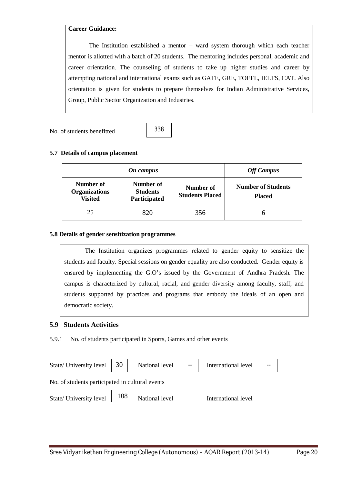# **Career Guidance:**

The Institution established a mentor – ward system thorough which each teacher mentor is allotted with a batch of 20 students. The mentoring includes personal, academic and career orientation. The counseling of students to take up higher studies and career by attempting national and international exams such as GATE, GRE, TOEFL, IELTS, CAT. Also orientation is given for students to prepare themselves for Indian Administrative Services, Group, Public Sector Organization and Industries.

No. of students benefitted



# **5.7 Details of campus placement**

|                                                                                                     | <b>Off Campus</b> |                                     |                                            |
|-----------------------------------------------------------------------------------------------------|-------------------|-------------------------------------|--------------------------------------------|
| Number of<br>Number of<br><b>Organizations</b><br><b>Students</b><br><b>Visited</b><br>Participated |                   | Number of<br><b>Students Placed</b> | <b>Number of Students</b><br><b>Placed</b> |
| 25                                                                                                  | 820               | 356                                 |                                            |

#### **5.8 Details of gender sensitization programmes**

The Institution organizes programmes related to gender equity to sensitize the students and faculty. Special sessions on gender equality are also conducted. Gender equity is ensured by implementing the G.O's issued by the Government of Andhra Pradesh. The campus is characterized by cultural, racial, and gender diversity among faculty, staff, and students supported by practices and programs that embody the ideals of an open and democratic society.

#### **5.9 Students Activities**

5.9.1 No. of students participated in Sports, Games and other events

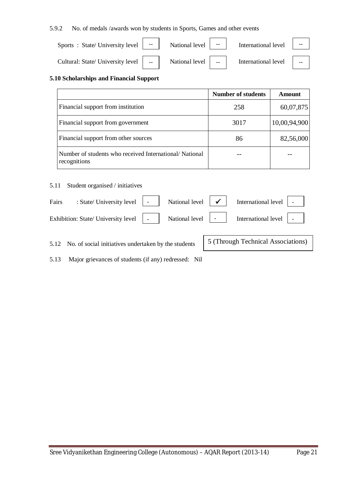5.9.2 No. of medals /awards won by students in Sports, Games and other events

| Sports : State/University level   --   National level   --                         | International level $\ \cdot\ $ |  |
|------------------------------------------------------------------------------------|---------------------------------|--|
| Cultural: State/ University level   --   National level   --   International level |                                 |  |

### **5.10 Scholarships and Financial Support**

|                                                                        | <b>Number of students</b> | Amount       |
|------------------------------------------------------------------------|---------------------------|--------------|
| Financial support from institution                                     | 258                       | 60,07,875    |
| Financial support from government                                      | 3017                      | 10,00,94,900 |
| Financial support from other sources                                   | 86                        | 82,56,000    |
| Number of students who received International/National<br>recognitions |                           |              |

## 5.11 Student organised / initiatives

| Fairs | : State/ University level $\vert \cdot \vert$ National level $\vert \cdot \vert$ |  | International level   -       |  |
|-------|----------------------------------------------------------------------------------|--|-------------------------------|--|
|       | Exhibition: State/ University level   -   National level   -                     |  | International level $\vert$ - |  |

5 (Through Technical Associations)

5.12 No. of social initiatives undertaken by the students

5.13 Major grievances of students (if any) redressed: Nil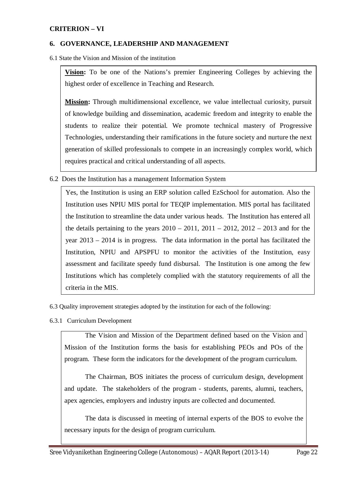# **CRITERION – VI**

#### **6. GOVERNANCE, LEADERSHIP AND MANAGEMENT**

6.1 State the Vision and Mission of the institution

**Vision:** To be one of the Nations's premier Engineering Colleges by achieving the highest order of excellence in Teaching and Research.

**Mission:** Through multidimensional excellence, we value intellectual curiosity, pursuit of knowledge building and dissemination, academic freedom and integrity to enable the students to realize their potential. We promote technical mastery of Progressive Technologies, understanding their ramifications in the future society and nurture the next generation of skilled professionals to compete in an increasingly complex world, which requires practical and critical understanding of all aspects.

6.2 Does the Institution has a management Information System

Yes, the Institution is using an ERP solution called EzSchool for automation. Also the Institution uses NPIU MIS portal for TEQIP implementation. MIS portal has facilitated the Institution to streamline the data under various heads. The Institution has entered all the details pertaining to the years  $2010 - 2011$ ,  $2011 - 2012$ ,  $2012 - 2013$  and for the year 2013 – 2014 is in progress. The data information in the portal has facilitated the Institution, NPIU and APSPFU to monitor the activities of the Institution, easy assessment and facilitate speedy fund disbursal. The Institution is one among the few Institutions which has completely complied with the statutory requirements of all the criteria in the MIS.

- 6.3 Quality improvement strategies adopted by the institution for each of the following:
- 6.3.1 Curriculum Development

The Vision and Mission of the Department defined based on the Vision and Mission of the Institution forms the basis for establishing PEOs and POs of the program. These form the indicators for the development of the program curriculum.

The Chairman, BOS initiates the process of curriculum design, development and update. The stakeholders of the program - students, parents, alumni, teachers, apex agencies, employers and industry inputs are collected and documented.

The data is discussed in meeting of internal experts of the BOS to evolve the necessary inputs for the design of program curriculum.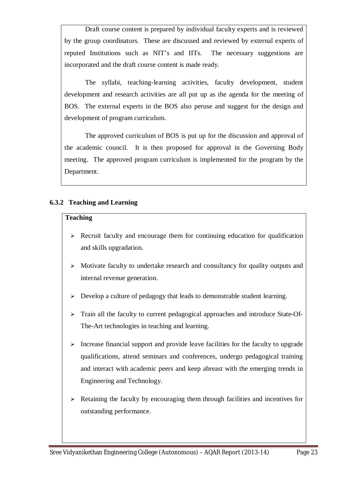Draft course content is prepared by individual faculty experts and is reviewed by the group coordinators. These are discussed and reviewed by external experts of reputed Institutions such as NIT's and IITs. The necessary suggestions are incorporated and the draft course content is made ready.

The syllabi, teaching-learning activities, faculty development, student development and research activities are all put up as the agenda for the meeting of BOS. The external experts in the BOS also peruse and suggest for the design and development of program curriculum.

The approved curriculum of BOS is put up for the discussion and approval of the academic council. It is then proposed for approval in the Governing Body meeting. The approved program curriculum is implemented for the program by the Department.

# **6.3.2 Teaching and Learning**

# **Teaching**

- $\triangleright$  Recruit faculty and encourage them for continuing education for qualification and skills upgradation.
- $\triangleright$  Motivate faculty to undertake research and consultancy for quality outputs and internal revenue generation.
- $\triangleright$  Develop a culture of pedagogy that leads to demonstrable student learning.
- Train all the faculty to current pedagogical approaches and introduce State-Of-The-Art technologies in teaching and learning.
- $\triangleright$  Increase financial support and provide leave facilities for the faculty to upgrade qualifications, attend seminars and conferences, undergo pedagogical training and interact with academic peers and keep abreast with the emerging trends in Engineering and Technology.
- $\triangleright$  Retaining the faculty by encouraging them through facilities and incentives for outstanding performance.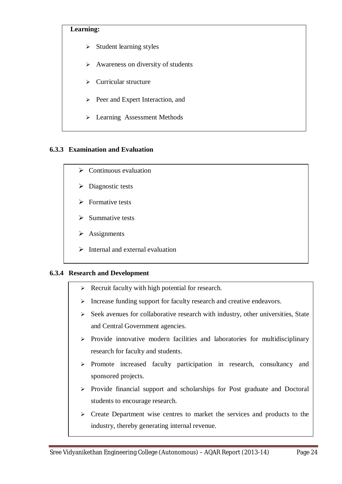# **Learning:**

- $\triangleright$  Student learning styles
- $\triangleright$  Awareness on diversity of students
- $\triangleright$  Curricular structure
- $\triangleright$  Peer and Expert Interaction, and
- Learning Assessment Methods

# **6.3.3 Examination and Evaluation**

- $\triangleright$  Continuous evaluation
- $\triangleright$  Diagnostic tests
- $\triangleright$  Formative tests
- $\triangleright$  Summative tests
- $\triangleright$  Assignments
- $\triangleright$  Internal and external evaluation

# **6.3.4 Research and Development**

- $\triangleright$  Recruit faculty with high potential for research.
- $\triangleright$  Increase funding support for faculty research and creative endeavors.
- $\triangleright$  Seek avenues for collaborative research with industry, other universities, State and Central Government agencies.
- $\triangleright$  Provide innovative modern facilities and laboratories for multidisciplinary research for faculty and students.
- $\triangleright$  Promote increased faculty participation in research, consultancy and sponsored projects.
- $\triangleright$  Provide financial support and scholarships for Post graduate and Doctoral students to encourage research.
- $\triangleright$  Create Department wise centres to market the services and products to the industry, thereby generating internal revenue.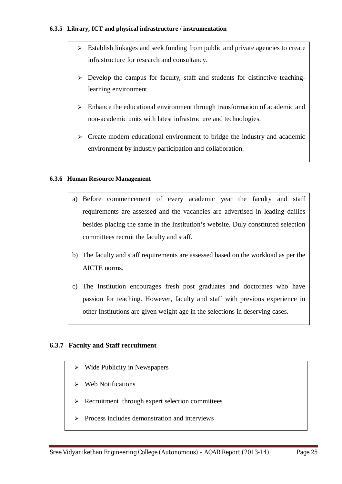## **6.3.5 Library, ICT and physical infrastructure / instrumentation**

- $\triangleright$  Establish linkages and seek funding from public and private agencies to create infrastructure for research and consultancy.
- $\triangleright$  Develop the campus for faculty, staff and students for distinctive teachinglearning environment.
- $\triangleright$  Enhance the educational environment through transformation of academic and non-academic units with latest infrastructure and technologies.
- $\triangleright$  Create modern educational environment to bridge the industry and academic environment by industry participation and collaboration.

#### **6.3.6 Human Resource Management**

- a) Before commencement of every academic year the faculty and staff requirements are assessed and the vacancies are advertised in leading dailies besides placing the same in the Institution's website. Duly constituted selection committees recruit the faculty and staff.
- b) The faculty and staff requirements are assessed based on the workload as per the AICTE norms.
- c) The Institution encourages fresh post graduates and doctorates who have passion for teaching. However, faculty and staff with previous experience in other Institutions are given weight age in the selections in deserving cases.

# **6.3.7 Faculty and Staff recruitment**

- $\triangleright$  Wide Publicity in Newspapers
- $\triangleright$  Web Notifications
- $\triangleright$  Recruitment through expert selection committees
- $\triangleright$  Process includes demonstration and interviews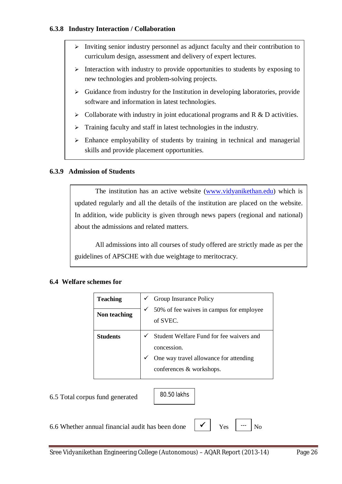- $\triangleright$  Inviting senior industry personnel as adjunct faculty and their contribution to curriculum design, assessment and delivery of expert lectures.
- $\triangleright$  Interaction with industry to provide opportunities to students by exposing to new technologies and problem-solving projects.
- $\triangleright$  Guidance from industry for the Institution in developing laboratories, provide software and information in latest technologies.
- $\triangleright$  Collaborate with industry in joint educational programs and R & D activities.
- $\triangleright$  Training faculty and staff in latest technologies in the industry.
- $\triangleright$  Enhance employability of students by training in technical and managerial skills and provide placement opportunities.

# **6.3.9 Admission of Students**

The institution has an active website (www.vidyanikethan.edu) which is updated regularly and all the details of the institution are placed on the website. In addition, wide publicity is given through news papers (regional and national) about the admissions and related matters.

All admissions into all courses of study offered are strictly made as per the guidelines of APSCHE with due weightage to meritocracy.

# **6.4 Welfare schemes for**

| <b>Teaching</b><br>Non teaching | ✓<br>✓ | Group Insurance Policy<br>50% of fee waives in campus for employee<br>of SVEC. |
|---------------------------------|--------|--------------------------------------------------------------------------------|
| <b>Students</b>                 | ✓      | Student Welfare Fund for fee waivers and<br>concession.                        |
|                                 |        | One way travel allowance for attending<br>conferences & workshops.             |

6.5 Total corpus fund generated

80.50 lakhs

6.6 Whether annual financial audit has been done  $\mathbf{V}$   $\mathbf{V}$   $\mathbf{v}_{\text{es}}$  |  $\mathbf{v}_{\text{e}}$  |  $\mathbf{v}_{\text{o}}$ 

 $Y_{PS}$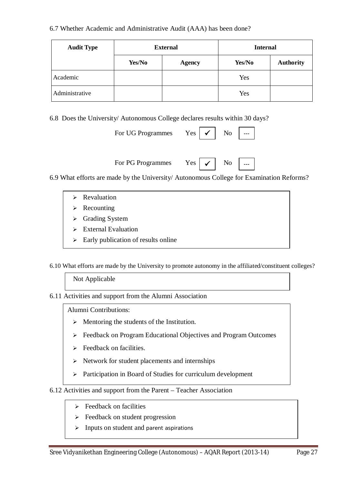# 6.7 Whether Academic and Administrative Audit (AAA) has been done?

| <b>Audit Type</b> | <b>External</b> |               | <b>Internal</b> |                  |  |
|-------------------|-----------------|---------------|-----------------|------------------|--|
|                   | Yes/No          | <b>Agency</b> | Yes/No          | <b>Authority</b> |  |
| Academic          |                 |               | Yes             |                  |  |
| Administrative    |                 |               | Yes             |                  |  |

6.8 Does the University/ Autonomous College declares results within 30 days?

For PG Programmes Yes

| For UG Programmes Yes $\vert \checkmark \vert$ No $\vert$ --- |  |  |
|---------------------------------------------------------------|--|--|
|                                                               |  |  |

 $\rm No$ 

6.9 What efforts are made by the University/ Autonomous College for Examination Reforms?

- $\triangleright$  Revaluation
- $\triangleright$  Recounting
- $\triangleright$  Grading System
- $\triangleright$  External Evaluation
- $\triangleright$  Early publication of results online

6.10 What efforts are made by the University to promote autonomy in the affiliated/constituent colleges?

Not Applicable

6.11 Activities and support from the Alumni Association

Alumni Contributions:

- $\triangleright$  Mentoring the students of the Institution.
- Feedback on Program Educational Objectives and Program Outcomes
- $\triangleright$  Feedback on facilities.
- $\triangleright$  Network for student placements and internships
- $\triangleright$  Participation in Board of Studies for curriculum development

6.12 Activities and support from the Parent – Teacher Association

- $\triangleright$  Feedback on facilities
- $\triangleright$  Feedback on student progression
- $\triangleright$  Inputs on student and parent aspirations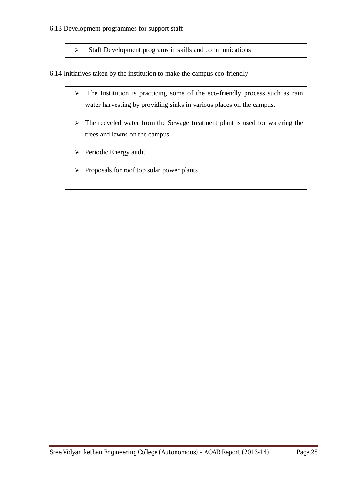## 6.13 Development programmes for support staff

 $\triangleright$  Staff Development programs in skills and communications

6.14 Initiatives taken by the institution to make the campus eco-friendly

- $\geq$  The Institution is practicing some of the eco-friendly process such as rain water harvesting by providing sinks in various places on the campus.
- $\triangleright$  The recycled water from the Sewage treatment plant is used for watering the trees and lawns on the campus.
- > Periodic Energy audit
- $\triangleright$  Proposals for roof top solar power plants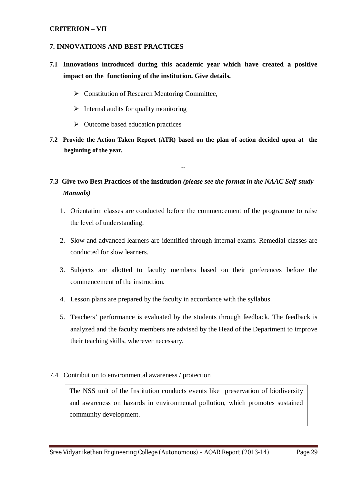# **CRITERION – VII**

#### **7. INNOVATIONS AND BEST PRACTICES**

- **7.1 Innovations introduced during this academic year which have created a positive impact on the functioning of the institution. Give details.**
	- ▶ Constitution of Research Mentoring Committee,
	- $\triangleright$  Internal audits for quality monitoring
	- $\triangleright$  Outcome based education practices
- **7.2 Provide the Action Taken Report (ATR) based on the plan of action decided upon at the beginning of the year.**

--

# **7.3 Give two Best Practices of the institution** *(please see the format in the NAAC Self-study Manuals)*

- 1. Orientation classes are conducted before the commencement of the programme to raise the level of understanding.
- 2. Slow and advanced learners are identified through internal exams. Remedial classes are conducted for slow learners.
- 3. Subjects are allotted to faculty members based on their preferences before the commencement of the instruction.
- 4. Lesson plans are prepared by the faculty in accordance with the syllabus.
- 5. Teachers' performance is evaluated by the students through feedback. The feedback is analyzed and the faculty members are advised by the Head of the Department to improve their teaching skills, wherever necessary.

#### 7.4 Contribution to environmental awareness / protection

The NSS unit of the Institution conducts events like preservation of biodiversity and awareness on hazards in environmental pollution, which promotes sustained community development.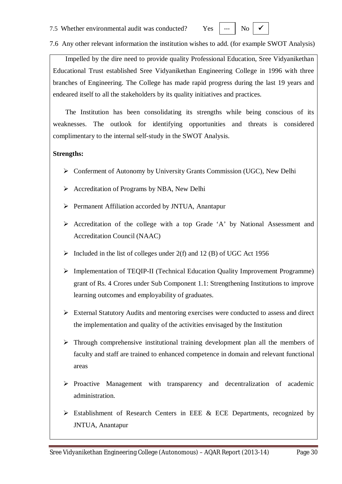7.5 Whether environmental audit was conducted? Yes

```
N<sub>0</sub>
```
7.6 Any other relevant information the institution wishes to add. (for example SWOT Analysis)

Impelled by the dire need to provide quality Professional Education, Sree Vidyanikethan Educational Trust established Sree Vidyanikethan Engineering College in 1996 with three branches of Engineering. The College has made rapid progress during the last 19 years and endeared itself to all the stakeholders by its quality initiatives and practices.

The Institution has been consolidating its strengths while being conscious of its weaknesses. The outlook for identifying opportunities and threats is considered complimentary to the internal self-study in the SWOT Analysis.

# **Strengths:**

- Conferment of Autonomy by University Grants Commission (UGC), New Delhi
- $\triangleright$  Accreditation of Programs by NBA, New Delhi
- Permanent Affiliation accorded by JNTUA, Anantapur
- $\triangleright$  Accreditation of the college with a top Grade 'A' by National Assessment and Accreditation Council (NAAC)
- $\triangleright$  Included in the list of colleges under 2(f) and 12 (B) of UGC Act 1956
- Implementation of TEQIP-II (Technical Education Quality Improvement Programme) grant of Rs. 4 Crores under Sub Component 1.1: Strengthening Institutions to improve learning outcomes and employability of graduates.
- $\triangleright$  External Statutory Audits and mentoring exercises were conducted to assess and direct the implementation and quality of the activities envisaged by the Institution
- $\triangleright$  Through comprehensive institutional training development plan all the members of faculty and staff are trained to enhanced competence in domain and relevant functional areas
- $\triangleright$  Proactive Management with transparency and decentralization of academic administration.
- $\triangleright$  Establishment of Research Centers in EEE & ECE Departments, recognized by JNTUA, Anantapur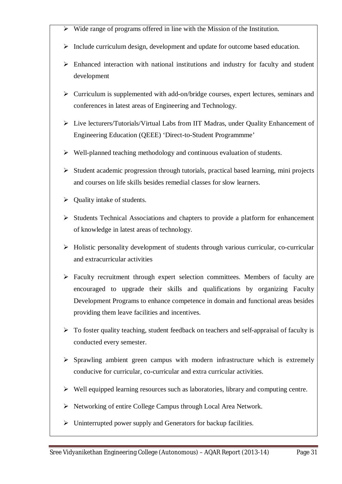- Wide range of programs offered in line with the Mission of the Institution.
- $\triangleright$  Include curriculum design, development and update for outcome based education.
- $\triangleright$  Enhanced interaction with national institutions and industry for faculty and student development
- $\triangleright$  Curriculum is supplemented with add-on/bridge courses, expert lectures, seminars and conferences in latest areas of Engineering and Technology.
- Live lecturers/Tutorials/Virtual Labs from IIT Madras, under Quality Enhancement of Engineering Education (QEEE) 'Direct-to-Student Programmme'
- $\triangleright$  Well-planned teaching methodology and continuous evaluation of students.
- $\triangleright$  Student academic progression through tutorials, practical based learning, mini projects and courses on life skills besides remedial classes for slow learners.
- $\triangleright$  Ouality intake of students.
- $\triangleright$  Students Technical Associations and chapters to provide a platform for enhancement of knowledge in latest areas of technology.
- $\triangleright$  Holistic personality development of students through various curricular, co-curricular and extracurricular activities
- $\triangleright$  Faculty recruitment through expert selection committees. Members of faculty are encouraged to upgrade their skills and qualifications by organizing Faculty Development Programs to enhance competence in domain and functional areas besides providing them leave facilities and incentives.
- $\triangleright$  To foster quality teaching, student feedback on teachers and self-appraisal of faculty is conducted every semester.
- $\triangleright$  Sprawling ambient green campus with modern infrastructure which is extremely conducive for curricular, co-curricular and extra curricular activities.
- $\triangleright$  Well equipped learning resources such as laboratories, library and computing centre.
- Networking of entire College Campus through Local Area Network.
- $\triangleright$  Uninterrupted power supply and Generators for backup facilities.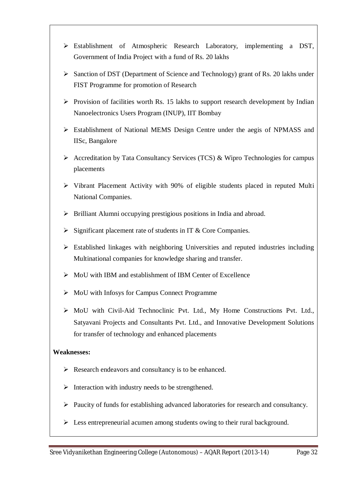- Establishment of Atmospheric Research Laboratory, implementing a DST, Government of India Project with a fund of Rs. 20 lakhs
- $\triangleright$  Sanction of DST (Department of Science and Technology) grant of Rs. 20 lakhs under FIST Programme for promotion of Research
- $\triangleright$  Provision of facilities worth Rs. 15 lakhs to support research development by Indian Nanoelectronics Users Program (INUP), IIT Bombay
- Establishment of National MEMS Design Centre under the aegis of NPMASS and IISc, Bangalore
- $\triangleright$  Accreditation by Tata Consultancy Services (TCS) & Wipro Technologies for campus placements
- $\triangleright$  Vibrant Placement Activity with 90% of eligible students placed in reputed Multi National Companies.
- $\triangleright$  Brilliant Alumni occupying prestigious positions in India and abroad.
- $\triangleright$  Significant placement rate of students in IT & Core Companies.
- Established linkages with neighboring Universities and reputed industries including Multinational companies for knowledge sharing and transfer.
- $\triangleright$  MoU with IBM and establishment of IBM Center of Excellence
- $\triangleright$  MoU with Infosys for Campus Connect Programme
- MoU with Civil-Aid Technoclinic Pvt. Ltd., My Home Constructions Pvt. Ltd., Satyavani Projects and Consultants Pvt. Ltd., and Innovative Development Solutions for transfer of technology and enhanced placements

# **Weaknesses:**

- $\triangleright$  Research endeavors and consultancy is to be enhanced.
- $\triangleright$  Interaction with industry needs to be strengthened.
- $\triangleright$  Paucity of funds for establishing advanced laboratories for research and consultancy.
- $\triangleright$  Less entrepreneurial acumen among students owing to their rural background.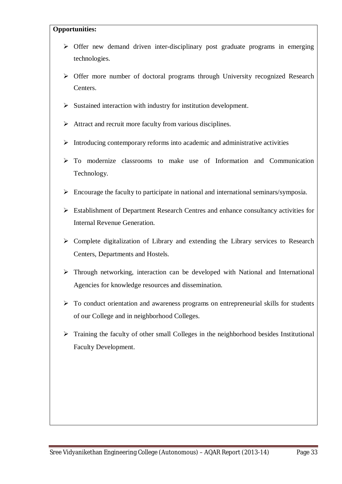# **Opportunities:**

- $\triangleright$  Offer new demand driven inter-disciplinary post graduate programs in emerging technologies.
- Offer more number of doctoral programs through University recognized Research Centers.
- $\triangleright$  Sustained interaction with industry for institution development.
- $\triangleright$  Attract and recruit more faculty from various disciplines.
- $\triangleright$  Introducing contemporary reforms into academic and administrative activities
- $\triangleright$  To modernize classrooms to make use of Information and Communication Technology.
- $\triangleright$  Encourage the faculty to participate in national and international seminars/symposia.
- Establishment of Department Research Centres and enhance consultancy activities for Internal Revenue Generation.
- $\triangleright$  Complete digitalization of Library and extending the Library services to Research Centers, Departments and Hostels.
- Through networking, interaction can be developed with National and International Agencies for knowledge resources and dissemination.
- $\triangleright$  To conduct orientation and awareness programs on entrepreneurial skills for students of our College and in neighborhood Colleges.
- $\triangleright$  Training the faculty of other small Colleges in the neighborhood besides Institutional Faculty Development.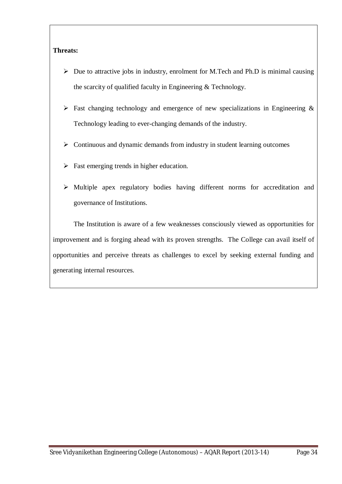# **Threats:**

- $\triangleright$  Due to attractive jobs in industry, enrolment for M.Tech and Ph.D is minimal causing the scarcity of qualified faculty in Engineering & Technology.
- $\triangleright$  Fast changing technology and emergence of new specializations in Engineering & Technology leading to ever-changing demands of the industry.
- $\triangleright$  Continuous and dynamic demands from industry in student learning outcomes
- $\triangleright$  Fast emerging trends in higher education.
- Multiple apex regulatory bodies having different norms for accreditation and governance of Institutions.

The Institution is aware of a few weaknesses consciously viewed as opportunities for improvement and is forging ahead with its proven strengths. The College can avail itself of opportunities and perceive threats as challenges to excel by seeking external funding and generating internal resources.